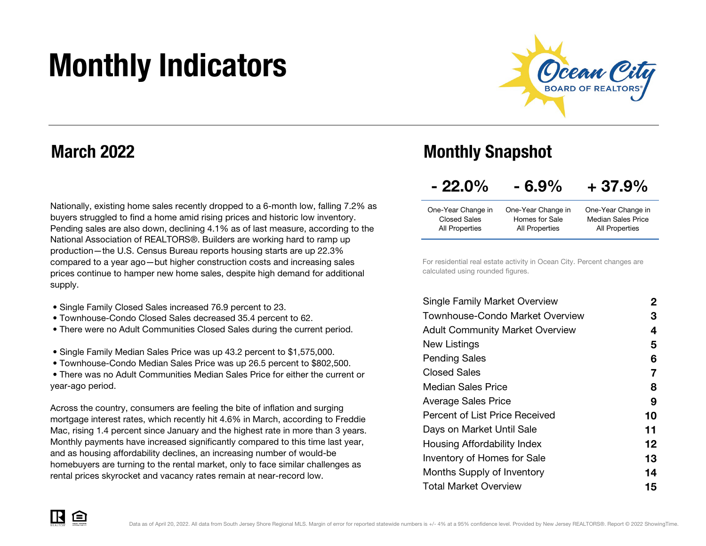# Monthly Indicators



## March 2022

Nationally, existing home sales recently dropped to a 6-month low, falling 7.2% as buyers struggled to find a home amid rising prices and historic low inventory. Pending sales are also down, declining 4.1% as of last measure, according to the National Association of REALTORS®. Builders are working hard to ramp up production—the U.S. Census Bureau reports housing starts are up 22.3% compared to a year ago—but higher construction costs and increasing sales prices continue to hamper new home sales, despite high demand for additional supply.

- Single Family Closed Sales increased 76.9 percent to 23.
- Townhouse-Condo Closed Sales decreased 35.4 percent to 62.
- There were no Adult Communities Closed Sales during the current period.
- Single Family Median Sales Price was up 43.2 percent to \$1,575,000.
- Townhouse-Condo Median Sales Price was up 26.5 percent to \$802,500.

 • There was no Adult Communities Median Sales Price for either the current or year-ago period.

Across the country, consumers are feeling the bite of inflation and surging mortgage interest rates, which recently hit 4.6% in March, according to Freddie Mac, rising 1.4 percent since January and the highest rate in more than 3 years. Monthly payments have increased significantly compared to this time last year, and as housing affordability declines, an increasing number of would-be homebuyers are turning to the rental market, only to face similar challenges as rental prices skyrocket and vacancy rates remain at near-record low.

## Monthly Snapshot

| $-22.0\%$ | $-6.9%$ | $+37.9%$ |
|-----------|---------|----------|
|-----------|---------|----------|

| One-Year Change in | One-Year Change in | One-Year Change in        |
|--------------------|--------------------|---------------------------|
| Closed Sales       | Homes for Sale     | <b>Median Sales Price</b> |
| All Properties     | All Properties     | All Properties            |

For residential real estate activity in Ocean City. Percent changes are calculated using rounded figures.

| 2  |
|----|
| З  |
| 4  |
| 5  |
| 6  |
| 7  |
| 8  |
| 9  |
| 10 |
| 11 |
| 12 |
| 13 |
| 14 |
| 15 |
|    |

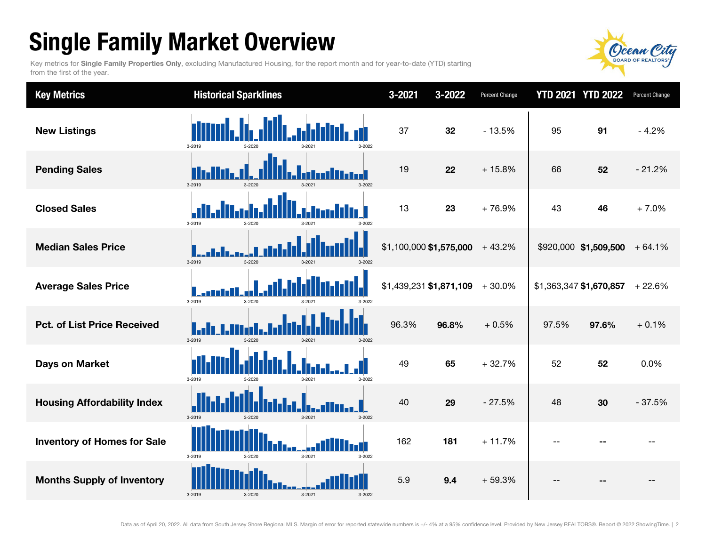## Single Family Market Overview

Key metrics for Single Family Properties Only, excluding Manufactured Housing, for the report month and for year-to-date (YTD) starting from the first of the year.



| <b>Key Metrics</b>                 | <b>Historical Sparklines</b>                  | 3-2021<br>3-2022        | Percent Change |       | <b>YTD 2021 YTD 2022</b> | Percent Change |
|------------------------------------|-----------------------------------------------|-------------------------|----------------|-------|--------------------------|----------------|
| <b>New Listings</b>                | 3-2022<br>3-2019<br>3-2020<br>s-ous-          | 37<br>32                | $-13.5%$       | 95    | 91                       | $-4.2%$        |
| <b>Pending Sales</b>               | 3-2019<br>3-2020<br>3-2021<br>3-2022          | 19<br>22                | $+15.8%$       | 66    | 52                       | $-21.2%$       |
| <b>Closed Sales</b>                | 3-2019<br>$3 - 2020$                          | 13<br>23                | +76.9%         | 43    | 46                       | $+7.0%$        |
| <b>Median Sales Price</b>          | 3-2019<br>3-2020<br>$3 - 2021$<br>3-2022      | \$1,100,000 \$1,575,000 | $+43.2%$       |       | \$920,000 \$1,509,500    | $+64.1%$       |
| <b>Average Sales Price</b>         | 3-2019<br>3-2020                              | \$1,439,231 \$1,871,109 | $+30.0%$       |       | \$1,363,347 \$1,670,857  | $+22.6%$       |
| <b>Pct. of List Price Received</b> | 3-2019<br>$3 - 2020$<br>$3 - 2021$<br>3-2022  | 96.3%<br>96.8%          | $+0.5%$        | 97.5% | 97.6%                    | $+0.1%$        |
| <b>Days on Market</b>              | 3-2019<br>3-2022<br>3-2020<br>$3 - 202$       | 49<br>65                | $+32.7%$       | 52    | 52                       | 0.0%           |
| <b>Housing Affordability Index</b> | 3-2019<br>3-2020<br>3-2021<br>3-2022          | 40<br>29                | $-27.5%$       | 48    | 30                       | $-37.5%$       |
| <b>Inventory of Homes for Sale</b> | lan 1<br>3-2019<br>3-2020<br>3-2021<br>3-2022 | 162<br>181              | $+11.7%$       | --    |                          |                |
| <b>Months Supply of Inventory</b>  | 3-2019<br>3-2020<br>$3 - 2021$<br>3-2022      | 5.9<br>9.4              | $+59.3%$       |       |                          |                |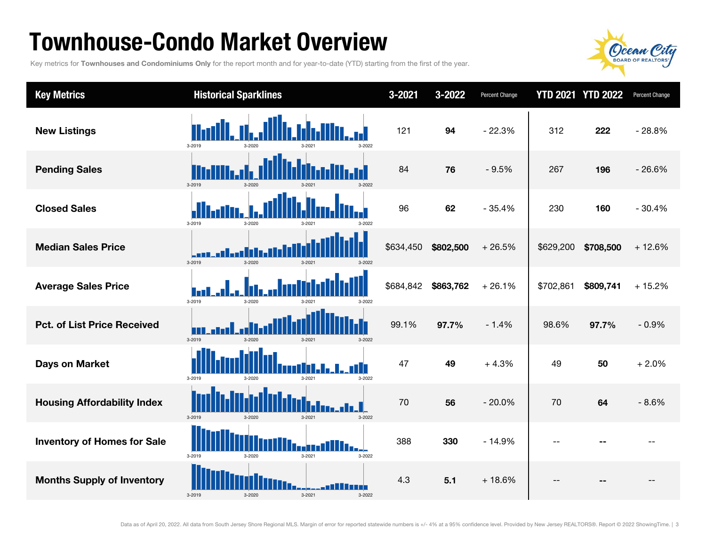## Townhouse-Condo Market Overview

Key metrics for Townhouses and Condominiums Only for the report month and for year-to-date (YTD) starting from the first of the year.



| <b>Key Metrics</b>                 | <b>Historical Sparklines</b>                | $3 - 2021$ | 3-2022    | Percent Change |           | <b>YTD 2021 YTD 2022</b> | Percent Change |
|------------------------------------|---------------------------------------------|------------|-----------|----------------|-----------|--------------------------|----------------|
| <b>New Listings</b>                | 3-2019<br>$3 - 2020$<br>3-2022              | 121        | 94        | $-22.3%$       | 312       | 222                      | $-28.8%$       |
| <b>Pending Sales</b>               | 3-2019<br>3-2022<br>3-2020<br>$3 - 202$     | 84         | 76        | $-9.5%$        | 267       | 196                      | $-26.6%$       |
| <b>Closed Sales</b>                | 3-2019<br>$3 - 2020$<br>$3 - 202$<br>3.2023 | 96         | 62        | $-35.4%$       | 230       | 160                      | $-30.4%$       |
| <b>Median Sales Price</b>          | 3-2019<br>3-2020<br>3-2021<br>3-2022        | \$634,450  | \$802,500 | $+26.5%$       | \$629,200 | \$708,500                | $+12.6%$       |
| <b>Average Sales Price</b>         | 3-2019<br>$3 - 2020$<br>3-2022              | \$684,842  | \$863,762 | $+26.1%$       | \$702,861 | \$809,741                | $+15.2%$       |
| <b>Pct. of List Price Received</b> | 3-2019<br>$3 - 2020$<br>3-2021<br>3-2022    | 99.1%      | 97.7%     | $-1.4%$        | 98.6%     | 97.7%                    | $-0.9%$        |
| <b>Days on Market</b>              | Г<br>3-2019<br>3-2020<br>3-2021<br>3-2022   | 47         | 49        | $+4.3%$        | 49        | 50                       | $+2.0%$        |
| <b>Housing Affordability Index</b> | 3-2019<br>3-2020<br>3-2021<br>3-2022        | 70         | 56        | $-20.0%$       | 70        | 64                       | $-8.6%$        |
| <b>Inventory of Homes for Sale</b> | 3-2019<br>$3 - 2021$<br>3-2020<br>3-2022    | 388        | 330       | $-14.9%$       | $-$       |                          |                |
| <b>Months Supply of Inventory</b>  | 3-2019<br>3-2020<br>3-2021<br>3-2022        | 4.3        | 5.1       | $+18.6%$       | $-$       |                          |                |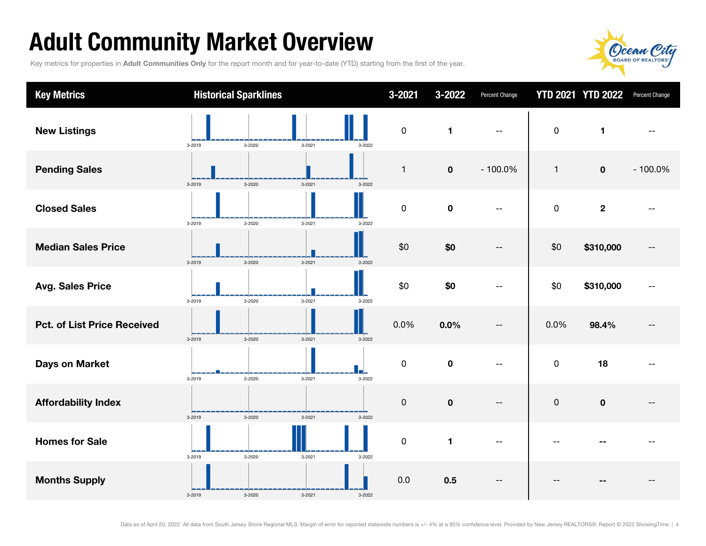## Adult Community Market Overview

Key metrics for properties in Adult Communities Only for the report month and for year-to-date (YTD) starting from the first of the year.



| <b>Key Metrics</b>                 | <b>Historical Sparklines</b>   |        | $3 - 2021$          | 3-2022         | Percent Change |                     | <b>YTD 2021 YTD 2022</b> | Percent Change |
|------------------------------------|--------------------------------|--------|---------------------|----------------|----------------|---------------------|--------------------------|----------------|
| <b>New Listings</b>                | 3-2020<br>$3 - 2021$<br>3-2019 | 3-2022 | $\mathsf{O}\xspace$ | $\blacksquare$ | $-$            | $\mathbf 0$         | $\mathbf{1}$             |                |
| <b>Pending Sales</b>               | 3-2019<br>3-2020<br>3-2021     | 3-2022 | $\mathbf{1}$        | $\mathbf 0$    | $-100.0%$      | $\mathbf{1}$        | $\mathbf 0$              | $-100.0%$      |
| <b>Closed Sales</b>                | 3-2020<br>3-2021<br>3-2019     | 3-2022 | $\pmb{0}$           | $\mathbf 0$    |                | $\mathsf{O}\xspace$ | $\mathbf{2}$             |                |
| <b>Median Sales Price</b>          | 3-2020<br>3-2019<br>$3 - 2021$ | 3-2022 | \$0                 | \$0            |                | \$0                 | \$310,000                |                |
| <b>Avg. Sales Price</b>            | 3-2021<br>3-2019<br>3-2020     | 3-2022 | \$0                 | \$0            |                | \$0                 | \$310,000                |                |
| <b>Pct. of List Price Received</b> | 3-2019<br>3-2020<br>$3 - 2021$ | 3-2022 | 0.0%                | 0.0%           | --             | 0.0%                | 98.4%                    |                |
| <b>Days on Market</b>              | $3 - 2021$<br>3-2019<br>3-2020 | 3-2022 | 0                   | $\mathbf 0$    |                | $\mathsf 0$         | 18                       |                |
| <b>Affordability Index</b>         | 3-2019<br>3-2020<br>3-2021     | 3-2022 | $\mathsf{O}\xspace$ | $\mathbf 0$    | --             | $\pmb{0}$           | $\mathbf 0$              |                |
| <b>Homes for Sale</b>              | 3-2020<br>3-2019<br>3-2021     | 3-2022 | $\pmb{0}$           | 1              |                |                     |                          |                |
| <b>Months Supply</b>               | 3-2019<br>3-2020<br>3-2021     | 3-2022 | 0.0                 | 0.5            |                |                     |                          |                |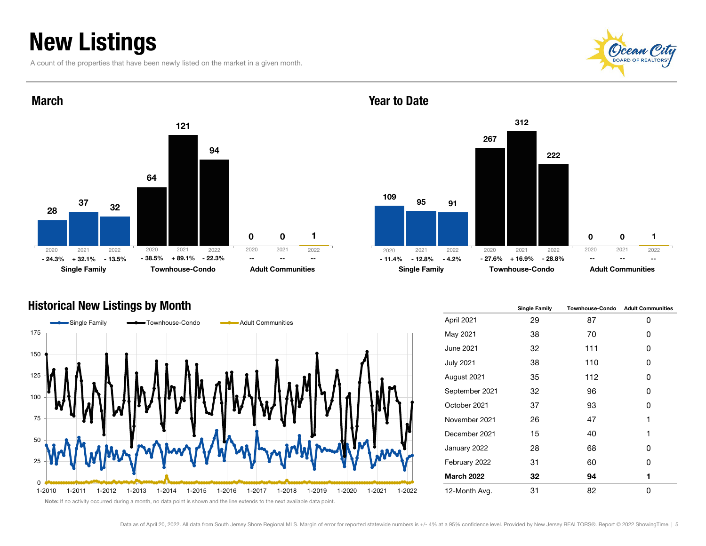## New Listings

March

A count of the properties that have been newly listed on the market in a given month.





## Year to Date



## Historical New Listings by Month



|                   | <b>Single Family</b> | <b>Townhouse-Condo</b> | <b>Adult Communities</b> |
|-------------------|----------------------|------------------------|--------------------------|
| April 2021        | 29                   | 87                     | 0                        |
| May 2021          | 38                   | 70                     | 0                        |
| <b>June 2021</b>  | 32                   | 111                    | 0                        |
| <b>July 2021</b>  | 38                   | 110                    | ŋ                        |
| August 2021       | 35                   | 112                    | 0                        |
| September 2021    | 32                   | 96                     | 0                        |
| October 2021      | 37                   | 93                     | 0                        |
| November 2021     | 26                   | 47                     | 1                        |
| December 2021     | 15                   | 40                     | 1                        |
| January 2022      | 28                   | 68                     | 0                        |
| February 2022     | 31                   | 60                     | 0                        |
| <b>March 2022</b> | 32                   | 94                     | 1                        |
| 12-Month Avg.     | 31                   | 82                     | O                        |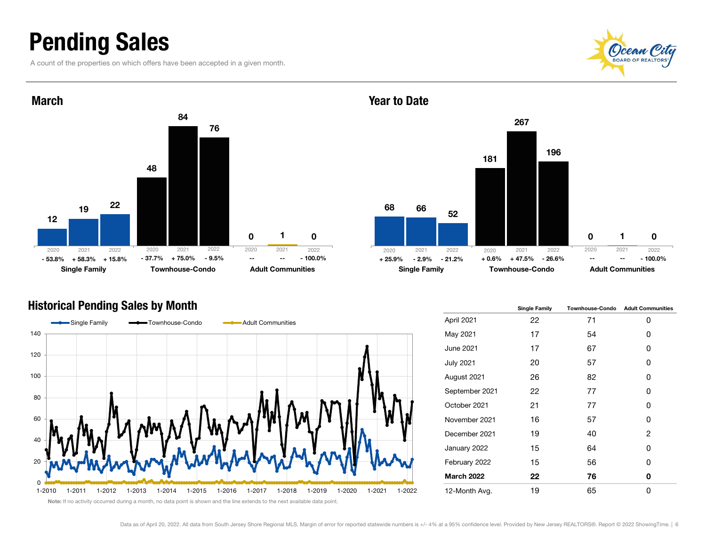## Pending Sales

A count of the properties on which offers have been accepted in a given month.





## Historical Pending Sales by Month



68 181  $\Omega$ 66 267 1 52 196  $\Omega$ Single Family **Townhouse-Condo** Adult Communities + 58.3% + 15.8% + 75.0% - 9.5% - 2.9% - 21.2% + 47.5% - 26.6% -- -- - 100.0% 2020 2021 2022 2020 2021 2022 2020 2021 2022 2020 2021 2022 --

|                   | <b>Single Family</b> | <b>Townhouse-Condo</b> | <b>Adult Communities</b> |
|-------------------|----------------------|------------------------|--------------------------|
| April 2021        | 22                   | 71                     | 0                        |
| May 2021          | 17                   | 54                     | Ω                        |
| June 2021         | 17                   | 67                     | 0                        |
| <b>July 2021</b>  | 20                   | 57                     | 0                        |
| August 2021       | 26                   | 82                     | 0                        |
| September 2021    | 22                   | 77                     | 0                        |
| October 2021      | 21                   | 77                     | Ω                        |
| November 2021     | 16                   | 57                     | 0                        |
| December 2021     | 19                   | 40                     | 2                        |
| January 2022      | 15                   | 64                     | O                        |
| February 2022     | 15                   | 56                     | 0                        |
| <b>March 2022</b> | 22                   | 76                     | 0                        |
| 12-Month Avg.     | 19                   | 65                     | 0                        |

Note: If no activity occurred during a month, no data point is shown and the line extends to the next available data point.

Year to Date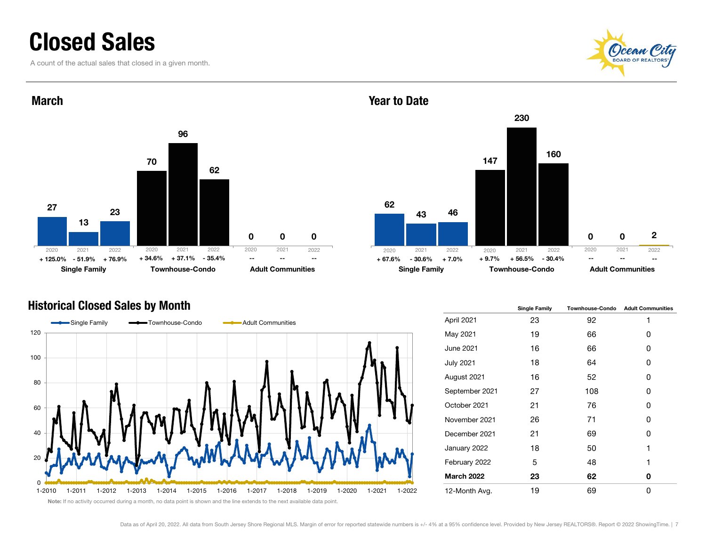## Closed Sales

A count of the actual sales that closed in a given month.





### Year to Date



## Historical Closed Sales by Month



|                   | <b>Single Family</b> | <b>Townhouse-Condo</b> | <b>Adult Communities</b> |
|-------------------|----------------------|------------------------|--------------------------|
| April 2021        | 23                   | 92                     | 1                        |
| May 2021          | 19                   | 66                     | 0                        |
| <b>June 2021</b>  | 16                   | 66                     | 0                        |
| <b>July 2021</b>  | 18                   | 64                     | 0                        |
| August 2021       | 16                   | 52                     | 0                        |
| September 2021    | 27                   | 108                    | 0                        |
| October 2021      | 21                   | 76                     | 0                        |
| November 2021     | 26                   | 71                     | 0                        |
| December 2021     | 21                   | 69                     | 0                        |
| January 2022      | 18                   | 50                     | 1                        |
| February 2022     | 5                    | 48                     | 1                        |
| <b>March 2022</b> | 23                   | 62                     | 0                        |
| 12-Month Avg.     | 19                   | 69                     | 0                        |

Note: If no activity occurred during a month, no data point is shown and the line extends to the next available data point.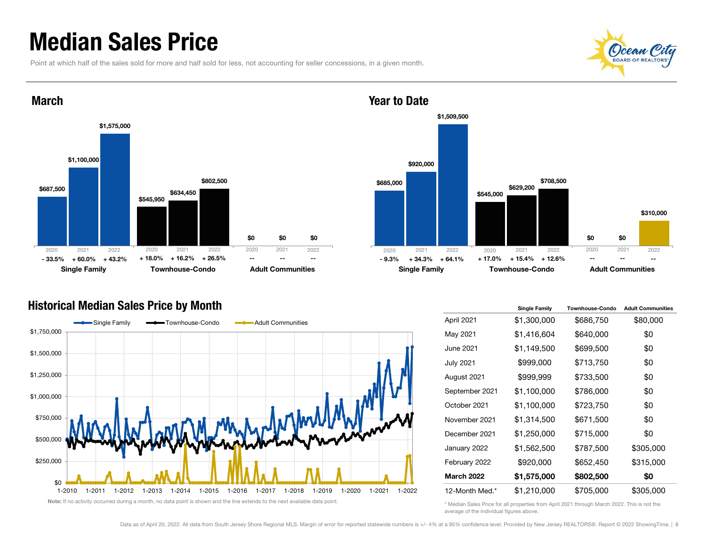## Median Sales Price

Point at which half of the sales sold for more and half sold for less, not accounting for seller concessions, in a given month.





### March



Year to Date

### Historical Median Sales Price by Month



Note: If no activity occurred during a month, no data point is shown and the line extends to the next available data point

|                   | <b>Single Family</b> | <b>Townhouse-Condo</b> | <b>Adult Communities</b> |
|-------------------|----------------------|------------------------|--------------------------|
| April 2021        | \$1,300,000          | \$686,750              | \$80,000                 |
| May 2021          | \$1,416,604          | \$640,000              | \$0                      |
| <b>June 2021</b>  | \$1,149,500          | \$699,500              | \$0                      |
| <b>July 2021</b>  | \$999,000            | \$713,750              | \$0                      |
| August 2021       | \$999,999            | \$733,500              | \$0                      |
| September 2021    | \$1,100,000          | \$786,000              | \$0                      |
| October 2021      | \$1,100,000          | \$723,750              | \$0                      |
| November 2021     | \$1,314,500          | \$671,500              | \$0                      |
| December 2021     | \$1,250,000          | \$715,000              | \$0                      |
| January 2022      | \$1,562,500          | \$787,500              | \$305,000                |
| February 2022     | \$920,000            | \$652,450              | \$315,000                |
| <b>March 2022</b> | \$1,575,000          | \$802,500              | \$0                      |
| 12-Month Med.*    | \$1,210,000          | \$705,000              | \$305,000                |

\* Median Sales Price for all properties from April 2021 through March 2022. This is not the average of the individual figures above.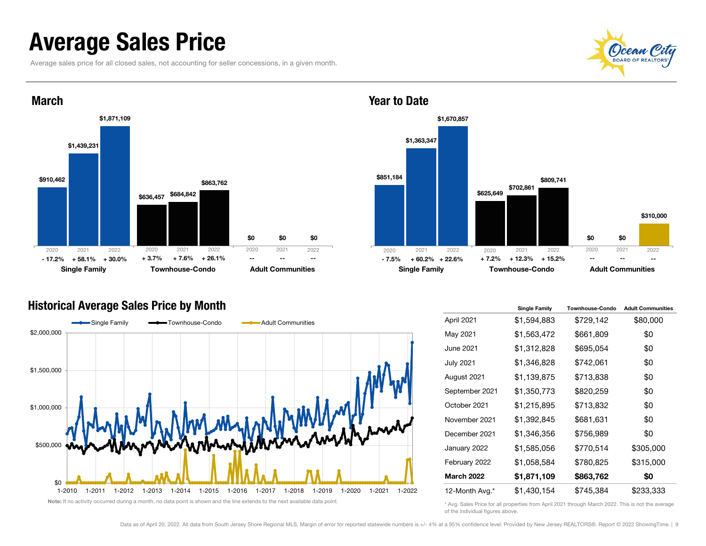## Average Sales Price

Average sales price for all closed sales, not accounting for seller concessions, in a given month.





### Historical Average Sales Price by Month





|                   | <b>Single Family</b> | <b>Townhouse-Condo</b> | <b>Adult Communities</b> |
|-------------------|----------------------|------------------------|--------------------------|
| April 2021        | \$1,594,883          | \$729,142              | \$80,000                 |
| May 2021          | \$1,563,472          | \$661,809              | \$0                      |
| June 2021         | \$1,312,828          | \$695,054              | \$0                      |
| <b>July 2021</b>  | \$1,346,828          | \$742,061              | \$0                      |
| August 2021       | \$1,139,875          | \$713,838              | \$0                      |
| September 2021    | \$1,350,773          | \$820,259              | \$0                      |
| October 2021      | \$1,215,895          | \$713,832              | \$0                      |
| November 2021     | \$1,392,845          | \$681,631              | \$0                      |
| December 2021     | \$1,346,356          | \$756,989              | \$0                      |
| January 2022      | \$1,585,056          | \$770,514              | \$305,000                |
| February 2022     | \$1,058,584          | \$780,825              | \$315,000                |
| <b>March 2022</b> | \$1,871,109          | \$863,762              | \$0                      |
| 12-Month Avg.*    | \$1,430,154          | \$745,384              | \$233,333                |

\* Avg. Sales Price for all properties from April 2021 through March 2022. This is not the average of the individual figures above.

### Data as of April 20, 2022. All data from South Jersey Shore Regional MLS. Margin of error for reported statewide numbers is +/- 4% at a 95% confidence level. Provided by New Jersey REALTORS®. Report © 2022 ShowingTime. | 9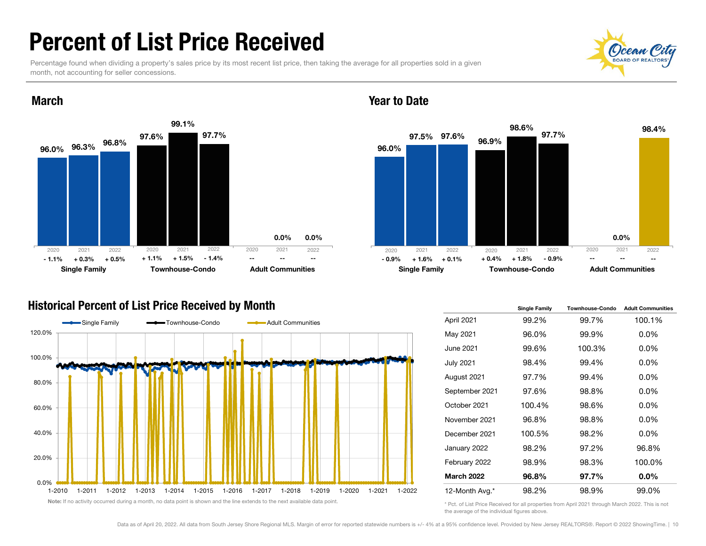## Percent of List Price Received

March

Percentage found when dividing a property's sales price by its most recent list price, then taking the average for all properties sold in a given month, not accounting for seller concessions.





### Year to Date



## Historical Percent of List Price Received by Month



|                   | <b>Single Family</b> | Townhouse-Condo | <b>Adult Communities</b> |
|-------------------|----------------------|-----------------|--------------------------|
| April 2021        | 99.2%                | 99.7%           | 100.1%                   |
| May 2021          | 96.0%                | 99.9%           | 0.0%                     |
| June 2021         | 99.6%                | 100.3%          | 0.0%                     |
| <b>July 2021</b>  | 98.4%                | 99.4%           | 0.0%                     |
| August 2021       | 97.7%                | 99.4%           | 0.0%                     |
| September 2021    | 97.6%                | 98.8%           | 0.0%                     |
| October 2021      | 100.4%               | 98.6%           | 0.0%                     |
| November 2021     | 96.8%                | 98.8%           | 0.0%                     |
| December 2021     | 100.5%               | 98.2%           | 0.0%                     |
| January 2022      | 98.2%                | 97.2%           | 96.8%                    |
| February 2022     | 98.9%                | 98.3%           | 100.0%                   |
| <b>March 2022</b> | 96.8%                | 97.7%           | 0.0%                     |
| 12-Month Avg.*    | 98.2%                | 98.9%           | 99.0%                    |

\* Pct. of List Price Received for all properties from April 2021 through March 2022. This is not the average of the individual figures above.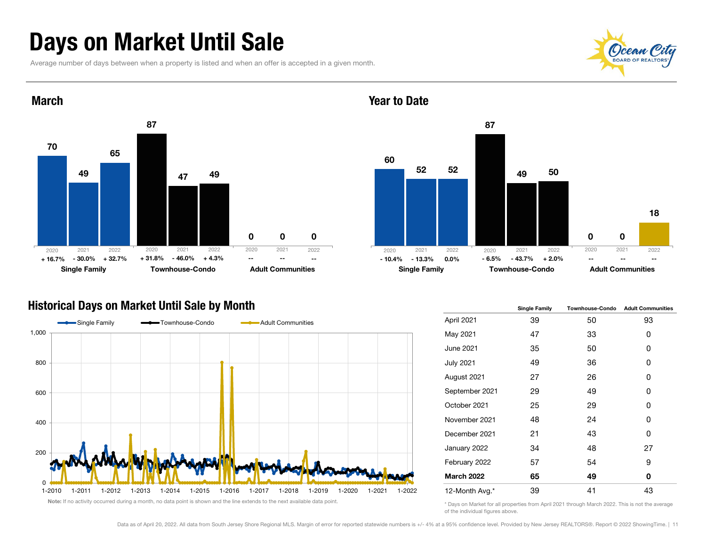## Days on Market Until Sale

Average number of days between when a property is listed and when an offer is accepted in a given month.





### Year to Date



### Historical Days on Market Until Sale by Month



|                   | <b>Single Family</b> | <b>Townhouse-Condo</b> | <b>Adult Communities</b> |  |
|-------------------|----------------------|------------------------|--------------------------|--|
| April 2021        | 39                   | 50                     | 93                       |  |
| May 2021          | 47                   | 33                     | 0                        |  |
| June 2021         | 35                   | 50                     | 0                        |  |
| <b>July 2021</b>  | 49                   | 36                     | 0                        |  |
| August 2021       | 27                   | 26                     | 0                        |  |
| September 2021    | 29                   | 49                     | 0                        |  |
| October 2021      | 25                   | 29                     | 0                        |  |
| November 2021     | 48                   | 24                     | 0                        |  |
| December 2021     | 21                   | 43                     | O                        |  |
| January 2022      | 34                   | 48                     | 27                       |  |
| February 2022     | 57                   | 54                     | 9                        |  |
| <b>March 2022</b> | 65                   | 49                     | 0                        |  |
| 12-Month Avg.*    | 39                   | 41                     | 43                       |  |

\* Days on Market for all properties from April 2021 through March 2022. This is not the average of the individual figures above.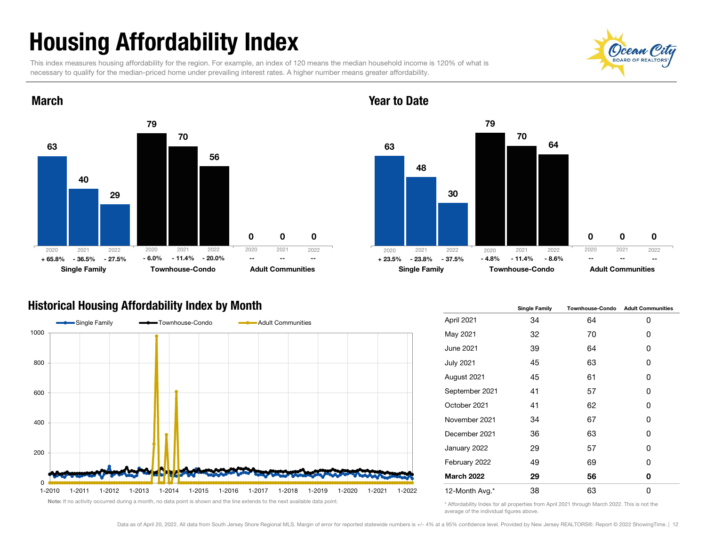## Housing Affordability Index

79

70

Single Family **Townhouse-Condo** Adult Communities

56

This index measures housing affordability for the region. For example, an index of 120 means the median household income is 120% of what is necessary to qualify for the median-priced home under prevailing interest rates. A higher number means greater affordability.

 $\Omega$ 

 $\Omega$ 

+ 65.8% - 36.5% - 27.5% - 6.0% - 11.4% - 20.0% -- - -- -- -- -- -- - + 23.5% - 23.8% - 37.5% - 4.8% 2020 2021 2022

 $\Omega$ 

- 36.5% - 27.5% - 11.4% - 20.0% - 23.8% - 37.5% - 11.4% - 8.6%

2020 2021 2022 2020 2021 2022 2020 2021 2022



Single Family **Townhouse-Condo** Adult Communities

-- -- --



63

## Historical Housing Affordability Index by Month

63

March

40

2020 2021 2022

29



|                   | <b>Single Family</b> | <b>Townhouse-Condo</b> | <b>Adult Communities</b> |  |  |
|-------------------|----------------------|------------------------|--------------------------|--|--|
| April 2021        | 34                   | 64                     | 0                        |  |  |
| May 2021          | 32                   | 70                     | 0                        |  |  |
| June 2021         | 39                   | 64                     | 0                        |  |  |
| <b>July 2021</b>  | 45                   | 63                     | 0                        |  |  |
| August 2021       | 45                   | 61                     | 0                        |  |  |
| September 2021    | 41                   | 57                     | 0                        |  |  |
| October 2021      | 41                   | 62                     | 0                        |  |  |
| November 2021     | 34                   | 67                     | 0                        |  |  |
| December 2021     | 36                   | 63                     | 0                        |  |  |
| January 2022      | 29                   | 57                     | 0                        |  |  |
| February 2022     | 49                   | 69                     | 0                        |  |  |
| <b>March 2022</b> | 29                   | 56                     | 0                        |  |  |
| 12-Month Avg.*    | 38                   | 63                     | 0                        |  |  |

\* Affordability Index for all properties from April 2021 through March 2022. This is not the average of the individual figures above.



 $\Omega$ 

--

 $\Omega$ 

2020 2021 2022

 $\Omega$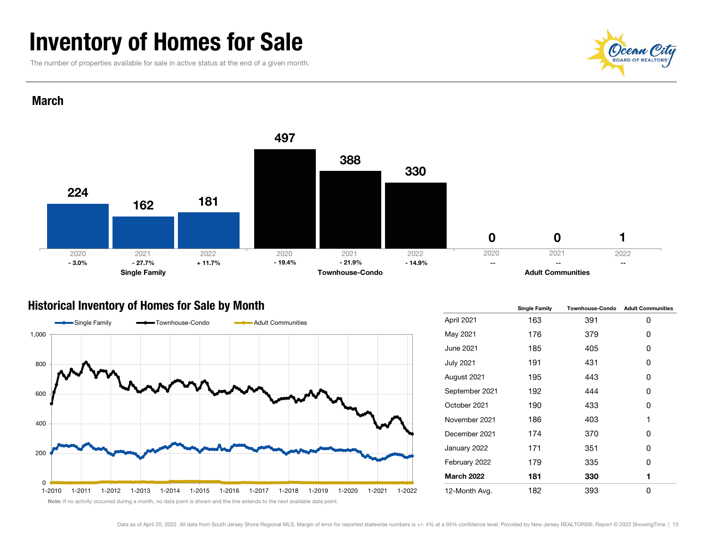## Inventory of Homes for Sale

The number of properties available for sale in active status at the end of a given month.



### March



## Historical Inventory of Homes for Sale by Month



|                   | <b>Single Family</b> | <b>Townhouse-Condo</b> | <b>Adult Communities</b> |  |
|-------------------|----------------------|------------------------|--------------------------|--|
| April 2021        | 163                  | 391                    | 0                        |  |
| May 2021          | 176                  | 379                    | 0                        |  |
| June 2021         | 185                  | 405                    | 0                        |  |
| <b>July 2021</b>  | 191                  | 431                    | 0                        |  |
| August 2021       | 195                  | 443                    | 0                        |  |
| September 2021    | 192                  | 444                    | 0                        |  |
| October 2021      | 190                  | 433                    | 0                        |  |
| November 2021     | 186                  | 403                    | 1                        |  |
| December 2021     | 174                  | 370                    | Ω                        |  |
| January 2022      | 171                  | 351                    | 0                        |  |
| February 2022     | 179                  | 335                    | 0                        |  |
| <b>March 2022</b> | 181                  | 330                    | 1                        |  |
| 12-Month Avg.     | 182                  | 393                    | 0                        |  |

Note: If no activity occurred during a month, no data point is shown and the line extends to the next available data point.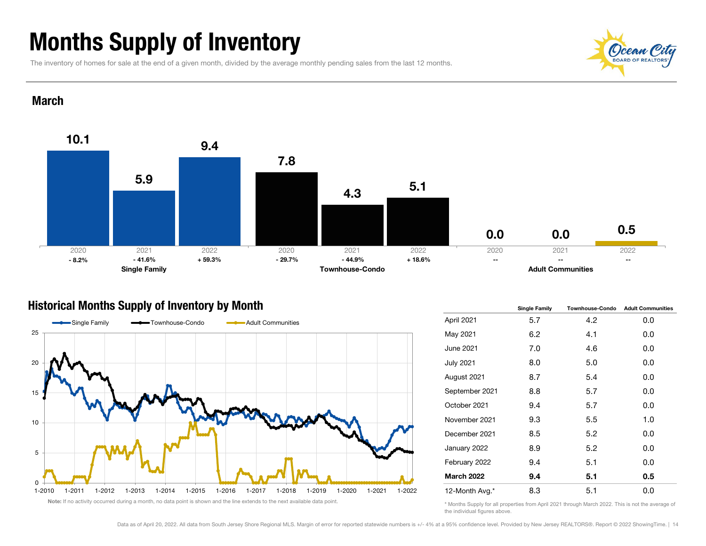## Months Supply of Inventory

The inventory of homes for sale at the end of a given month, divided by the average monthly pending sales from the last 12 months.



### **March**



## Historical Months Supply of Inventory by Month



|                   | <b>Single Family</b> | <b>Townhouse-Condo</b> | <b>Adult Communities</b> |  |  |
|-------------------|----------------------|------------------------|--------------------------|--|--|
| April 2021        | 5.7                  | 4.2                    | 0.0                      |  |  |
| May 2021          | 6.2                  | 4.1                    | 0.0                      |  |  |
| June 2021         | 7.0                  | 4.6                    | 0.0                      |  |  |
| <b>July 2021</b>  | 8.0                  | 5.0                    | 0.0                      |  |  |
| August 2021       | 8.7                  | 5.4                    | 0.0                      |  |  |
| September 2021    | 8.8                  | 5.7                    | 0.0                      |  |  |
| October 2021      | 9.4                  | 5.7                    | 0.0                      |  |  |
| November 2021     | 9.3                  | 5.5                    | 1.0                      |  |  |
| December 2021     | 8.5                  | 5.2                    | 0.0                      |  |  |
| January 2022      | 8.9                  | 5.2                    | 0.0                      |  |  |
| February 2022     | 9.4                  | 5.1                    | 0.0                      |  |  |
| <b>March 2022</b> | 9.4                  | 5.1                    | 0.5                      |  |  |
| 12-Month Avg.*    | 8.3                  | 5.1                    | 0.0                      |  |  |

\* Months Supply for all properties from April 2021 through March 2022. This is not the average of the individual figures above.